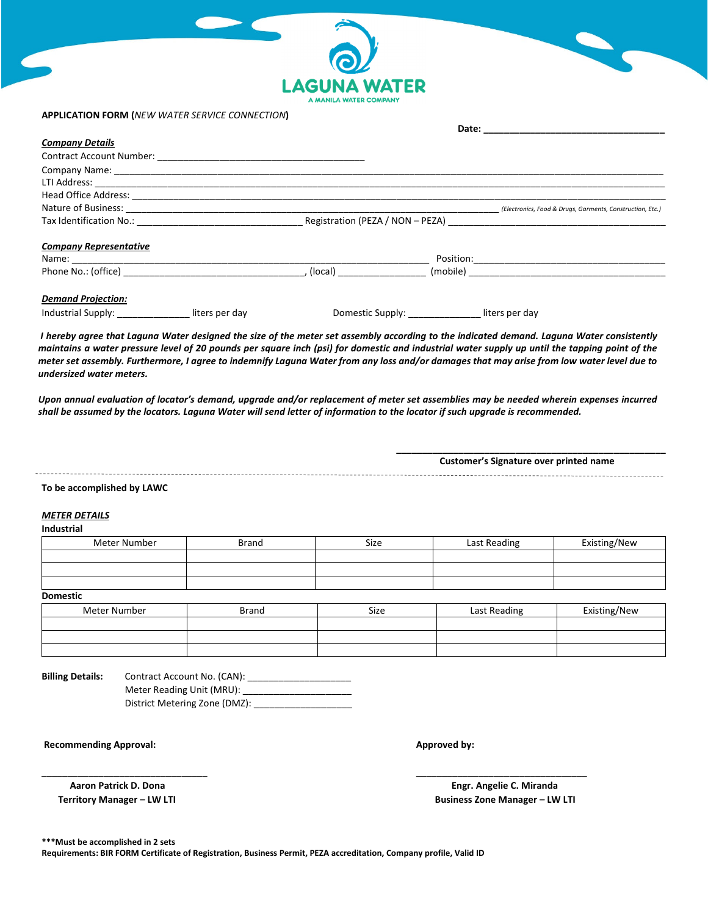| $\odot$                |
|------------------------|
| <b>LAGUNA WATER</b>    |
| A MANILA WATER COMPANY |

## **APPLICATION FORM (***NEW WATER SERVICE CONNECTION***)**

|                                                                                                                                                                                                                               | Date: the contract of the contract of the contract of the contract of the contract of the contract of the contract of the contract of the contract of the contract of the contract of the contract of the contract of the cont |                                  |  |                |                                                           |
|-------------------------------------------------------------------------------------------------------------------------------------------------------------------------------------------------------------------------------|--------------------------------------------------------------------------------------------------------------------------------------------------------------------------------------------------------------------------------|----------------------------------|--|----------------|-----------------------------------------------------------|
| <b>Company Details</b>                                                                                                                                                                                                        |                                                                                                                                                                                                                                |                                  |  |                |                                                           |
|                                                                                                                                                                                                                               |                                                                                                                                                                                                                                |                                  |  |                |                                                           |
|                                                                                                                                                                                                                               |                                                                                                                                                                                                                                |                                  |  |                |                                                           |
|                                                                                                                                                                                                                               |                                                                                                                                                                                                                                |                                  |  |                |                                                           |
|                                                                                                                                                                                                                               |                                                                                                                                                                                                                                |                                  |  |                |                                                           |
|                                                                                                                                                                                                                               |                                                                                                                                                                                                                                |                                  |  |                | (Electronics, Food & Drugs, Garments, Construction, Etc.) |
| Tax Identification No.: Tax Identification No.:                                                                                                                                                                               |                                                                                                                                                                                                                                | Registration (PEZA / NON - PEZA) |  |                |                                                           |
| <b>Company Representative</b>                                                                                                                                                                                                 |                                                                                                                                                                                                                                |                                  |  |                |                                                           |
| Name: 2008 2009 2009 2009 2009 2010 2021 2022 2023 2024 2022 2023 2024 2022 2023 2024 2022 2023 2024 2025 2026                                                                                                                |                                                                                                                                                                                                                                |                                  |  |                |                                                           |
| Phone No.: (office) and the set of the set of the set of the set of the set of the set of the set of the set of the set of the set of the set of the set of the set of the set of the set of the set of the set of the set of |                                                                                                                                                                                                                                |                                  |  |                |                                                           |
| <b>Demand Projection:</b>                                                                                                                                                                                                     |                                                                                                                                                                                                                                |                                  |  |                |                                                           |
| Industrial Supply:                                                                                                                                                                                                            | liters per day                                                                                                                                                                                                                 | Domestic Supply:                 |  | liters per day |                                                           |

 *I hereby agree that Laguna Water designed the size of the meter set assembly according to the indicated demand. Laguna Water consistently maintains a water pressure level of 20 pounds per square inch (psi) for domestic and industrial water supply up until the tapping point of the meter set assembly. Furthermore, I agree to indemnify Laguna Water from any loss and/or damages that may arise from low water level due to undersized water meters.* 

*Upon annual evaluation of locator's demand, upgrade and/or replacement of meter set assemblies may be needed wherein expenses incurred shall be assumed by the locators. Laguna Water will send letter of information to the locator if such upgrade is recommended.* 

**\_\_\_\_\_\_\_\_\_\_\_\_\_\_\_\_\_\_\_\_\_\_\_\_\_\_\_\_\_\_\_\_\_\_\_\_\_\_\_\_\_\_\_\_\_\_\_\_\_\_\_\_ Customer's Signature over printed name** 

#### **To be accomplished by LAWC**

# *METER DETAILS*

Z K

| Industrial      |       |      |              |              |
|-----------------|-------|------|--------------|--------------|
| Meter Number    | Brand | Size | Last Reading | Existing/New |
|                 |       |      |              |              |
|                 |       |      |              |              |
|                 |       |      |              |              |
| <b>Domestic</b> |       |      |              |              |
| Meter Number    | Brand | Size | Last Reading | Existing/New |

| Meter Number | <b>Brand</b> | Size | Last Reading | Existing/New |
|--------------|--------------|------|--------------|--------------|
|              |              |      |              |              |
|              |              |      |              |              |
|              |              |      |              |              |

**\_\_\_\_\_\_\_\_\_\_\_\_\_\_\_\_\_\_\_\_\_\_\_\_\_\_\_\_\_\_\_\_ \_\_\_\_\_\_\_\_\_\_\_\_\_\_\_\_\_\_\_\_\_\_\_\_\_\_\_\_\_\_\_\_\_** 

**Billing Details:** Contract Account No. (CAN): Meter Reading Unit (MRU): District Metering Zone (DMZ): \_\_\_\_\_\_\_\_\_\_\_\_\_\_\_\_\_\_\_

**Recommending Approval:** Approved by: **Approved by: Approved by: Approved by: Approved by: Approved by: Approved by: Approved by: Approved by: Approved by: Approved by: Approved by: Approved by: App** 

 **Territory Manager – LW LTI Business Zone Manager – LW LTI Business Zone Manager – LW LTI** 

 **Aaron Patrick D. Dona Engr. Angelie C. Miranda** 

**\*\*\*Must be accomplished in 2 sets Requirements: BIR FORM Certificate of Registration, Business Permit, PEZA accreditation, Company profile, Valid ID**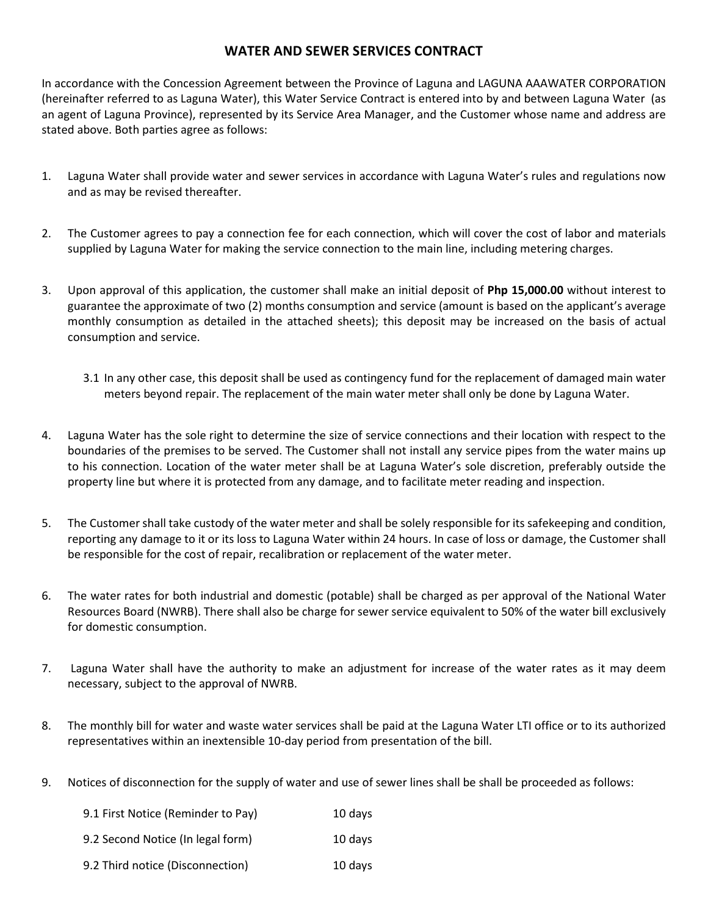# **WATER AND SEWER SERVICES CONTRACT**

In accordance with the Concession Agreement between the Province of Laguna and LAGUNA AAAWATER CORPORATION (hereinafter referred to as Laguna Water), this Water Service Contract is entered into by and between Laguna Water (as an agent of Laguna Province), represented by its Service Area Manager, and the Customer whose name and address are stated above. Both parties agree as follows:

- 1. Laguna Water shall provide water and sewer services in accordance with Laguna Water's rules and regulations now and as may be revised thereafter.
- 2. The Customer agrees to pay a connection fee for each connection, which will cover the cost of labor and materials supplied by Laguna Water for making the service connection to the main line, including metering charges.
- 3. Upon approval of this application, the customer shall make an initial deposit of **Php 15,000.00** without interest to guarantee the approximate of two (2) months consumption and service (amount is based on the applicant's average monthly consumption as detailed in the attached sheets); this deposit may be increased on the basis of actual consumption and service.
	- 3.1 In any other case, this deposit shall be used as contingency fund for the replacement of damaged main water meters beyond repair. The replacement of the main water meter shall only be done by Laguna Water.
- 4. Laguna Water has the sole right to determine the size of service connections and their location with respect to the boundaries of the premises to be served. The Customer shall not install any service pipes from the water mains up to his connection. Location of the water meter shall be at Laguna Water's sole discretion, preferably outside the property line but where it is protected from any damage, and to facilitate meter reading and inspection.
- 5. The Customer shall take custody of the water meter and shall be solely responsible for its safekeeping and condition, reporting any damage to it or its loss to Laguna Water within 24 hours. In case of loss or damage, the Customer shall be responsible for the cost of repair, recalibration or replacement of the water meter.
- 6. The water rates for both industrial and domestic (potable) shall be charged as per approval of the National Water Resources Board (NWRB). There shall also be charge for sewer service equivalent to 50% of the water bill exclusively for domestic consumption.
- 7. Laguna Water shall have the authority to make an adjustment for increase of the water rates as it may deem necessary, subject to the approval of NWRB.
- 8. The monthly bill for water and waste water services shall be paid at the Laguna Water LTI office or to its authorized representatives within an inextensible 10-day period from presentation of the bill.
- 9. Notices of disconnection for the supply of water and use of sewer lines shall be shall be proceeded as follows:

| 9.1 First Notice (Reminder to Pay) | 10 days |
|------------------------------------|---------|
| 9.2 Second Notice (In legal form)  | 10 days |
| 9.2 Third notice (Disconnection)   | 10 days |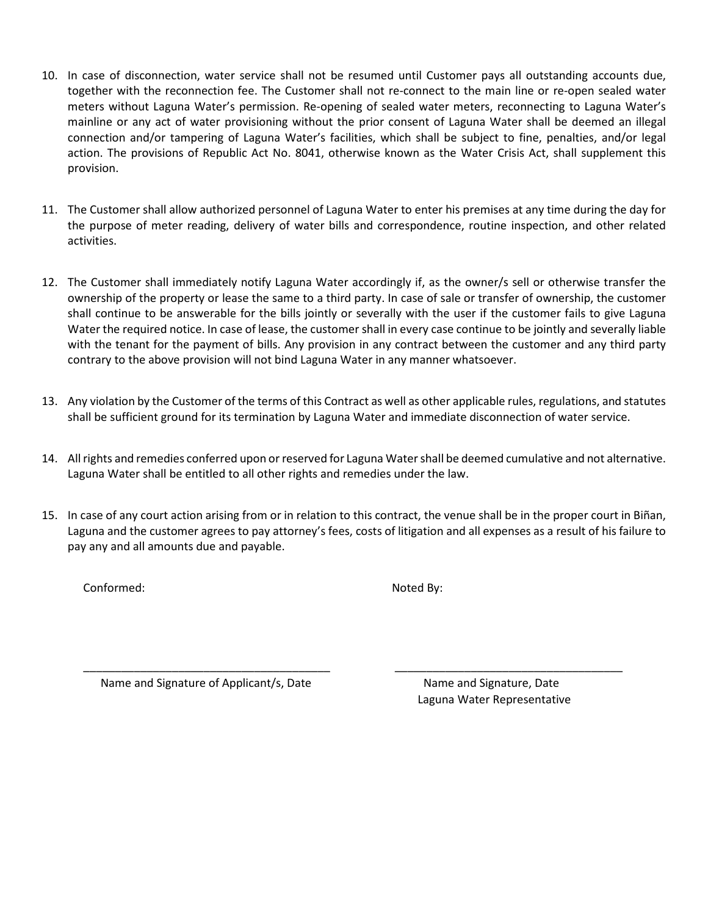- 10. In case of disconnection, water service shall not be resumed until Customer pays all outstanding accounts due, together with the reconnection fee. The Customer shall not re-connect to the main line or re-open sealed water meters without Laguna Water's permission. Re-opening of sealed water meters, reconnecting to Laguna Water's mainline or any act of water provisioning without the prior consent of Laguna Water shall be deemed an illegal connection and/or tampering of Laguna Water's facilities, which shall be subject to fine, penalties, and/or legal action. The provisions of Republic Act No. 8041, otherwise known as the Water Crisis Act, shall supplement this provision.
- 11. The Customer shall allow authorized personnel of Laguna Water to enter his premises at any time during the day for the purpose of meter reading, delivery of water bills and correspondence, routine inspection, and other related activities.
- 12. The Customer shall immediately notify Laguna Water accordingly if, as the owner/s sell or otherwise transfer the ownership of the property or lease the same to a third party. In case of sale or transfer of ownership, the customer shall continue to be answerable for the bills jointly or severally with the user if the customer fails to give Laguna Water the required notice. In case of lease, the customer shall in every case continue to be jointly and severally liable with the tenant for the payment of bills. Any provision in any contract between the customer and any third party contrary to the above provision will not bind Laguna Water in any manner whatsoever.
- 13. Any violation by the Customer of the terms of this Contract as well as other applicable rules, regulations, and statutes shall be sufficient ground for its termination by Laguna Water and immediate disconnection of water service.
- 14. All rights and remedies conferred upon or reserved for Laguna Water shall be deemed cumulative and not alternative. Laguna Water shall be entitled to all other rights and remedies under the law.
- 15. In case of any court action arising from or in relation to this contract, the venue shall be in the proper court in Biñan, Laguna and the customer agrees to pay attorney's fees, costs of litigation and all expenses as a result of his failure to pay any and all amounts due and payable.

Conformed:

Noted By:

\_\_\_\_\_\_\_\_\_\_\_\_\_\_\_\_\_\_\_\_\_\_\_\_\_\_\_\_\_\_\_\_\_\_\_\_\_\_\_ Name and Signature of Applicant/s, Date

 Name and Signature, Date Laguna Water Representative

 $\overline{\phantom{a}}$  ,  $\overline{\phantom{a}}$  ,  $\overline{\phantom{a}}$  ,  $\overline{\phantom{a}}$  ,  $\overline{\phantom{a}}$  ,  $\overline{\phantom{a}}$  ,  $\overline{\phantom{a}}$  ,  $\overline{\phantom{a}}$  ,  $\overline{\phantom{a}}$  ,  $\overline{\phantom{a}}$  ,  $\overline{\phantom{a}}$  ,  $\overline{\phantom{a}}$  ,  $\overline{\phantom{a}}$  ,  $\overline{\phantom{a}}$  ,  $\overline{\phantom{a}}$  ,  $\overline{\phantom{a}}$